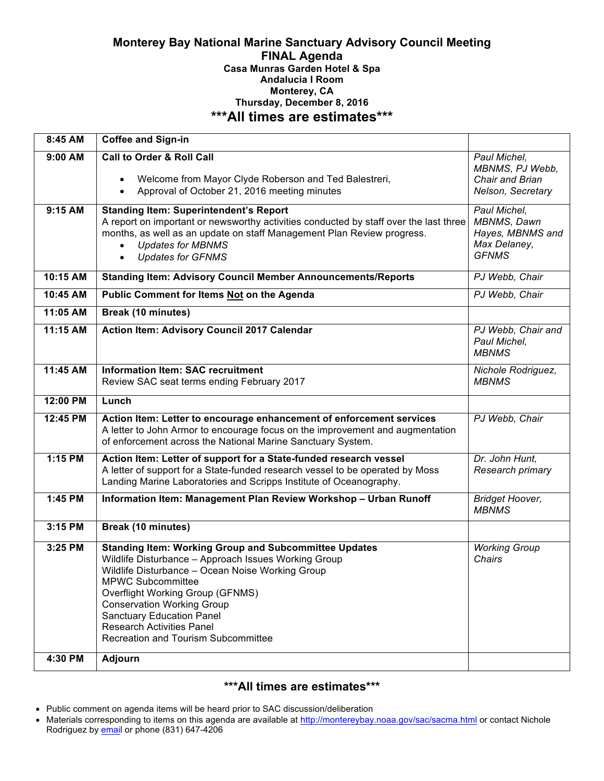#### **Monterey Bay National Marine Sanctuary Advisory Council Meeting FINAL Agenda Casa Munras Garden Hotel & Spa Andalucia I Room Monterey, CA Thursday, December 8, 2016 \*\*\*All times are estimates\*\*\***

| 8:45 AM   | Coffee and Sign-in                                                                                                                                                                                                                                                                                                                                                                           |                                                                                 |
|-----------|----------------------------------------------------------------------------------------------------------------------------------------------------------------------------------------------------------------------------------------------------------------------------------------------------------------------------------------------------------------------------------------------|---------------------------------------------------------------------------------|
| $9:00$ AM | <b>Call to Order &amp; Roll Call</b><br>Welcome from Mayor Clyde Roberson and Ted Balestreri,<br>$\bullet$<br>Approval of October 21, 2016 meeting minutes<br>$\bullet$                                                                                                                                                                                                                      | Paul Michel,<br>MBNMS, PJ Webb,<br>Chair and Brian<br>Nelson, Secretary         |
| 9:15 AM   | <b>Standing Item: Superintendent's Report</b><br>A report on important or newsworthy activities conducted by staff over the last three<br>months, as well as an update on staff Management Plan Review progress.<br><b>Updates for MBNMS</b><br><b>Updates for GFNMS</b><br>$\bullet$                                                                                                        | Paul Michel,<br>MBNMS, Dawn<br>Hayes, MBNMS and<br>Max Delaney,<br><b>GFNMS</b> |
| 10:15 AM  | <b>Standing Item: Advisory Council Member Announcements/Reports</b>                                                                                                                                                                                                                                                                                                                          | PJ Webb, Chair                                                                  |
| 10:45 AM  | Public Comment for Items Not on the Agenda                                                                                                                                                                                                                                                                                                                                                   | PJ Webb, Chair                                                                  |
| 11:05 AM  | Break (10 minutes)                                                                                                                                                                                                                                                                                                                                                                           |                                                                                 |
| 11:15 AM  | Action Item: Advisory Council 2017 Calendar                                                                                                                                                                                                                                                                                                                                                  | PJ Webb, Chair and<br>Paul Michel,<br><b>MBNMS</b>                              |
| 11:45 AM  | <b>Information Item: SAC recruitment</b><br>Review SAC seat terms ending February 2017                                                                                                                                                                                                                                                                                                       | Nichole Rodriguez,<br><b>MBNMS</b>                                              |
| 12:00 PM  | Lunch                                                                                                                                                                                                                                                                                                                                                                                        |                                                                                 |
| 12:45 PM  | Action Item: Letter to encourage enhancement of enforcement services<br>A letter to John Armor to encourage focus on the improvement and augmentation<br>of enforcement across the National Marine Sanctuary System.                                                                                                                                                                         | PJ Webb, Chair                                                                  |
| 1:15 PM   | Action Item: Letter of support for a State-funded research vessel<br>A letter of support for a State-funded research vessel to be operated by Moss<br>Landing Marine Laboratories and Scripps Institute of Oceanography.                                                                                                                                                                     | Dr. John Hunt,<br>Research primary                                              |
| 1:45 PM   | Information Item: Management Plan Review Workshop - Urban Runoff                                                                                                                                                                                                                                                                                                                             | <b>Bridget Hoover,</b><br><b>MBNMS</b>                                          |
| 3:15 PM   | <b>Break (10 minutes)</b>                                                                                                                                                                                                                                                                                                                                                                    |                                                                                 |
| 3:25 PM   | <b>Standing Item: Working Group and Subcommittee Updates</b><br>Wildlife Disturbance - Approach Issues Working Group<br>Wildlife Disturbance - Ocean Noise Working Group<br><b>MPWC Subcommittee</b><br>Overflight Working Group (GFNMS)<br><b>Conservation Working Group</b><br><b>Sanctuary Education Panel</b><br><b>Research Activities Panel</b><br>Recreation and Tourism Subcommittee | <b>Working Group</b><br>Chairs                                                  |
| 4:30 PM   | Adjourn                                                                                                                                                                                                                                                                                                                                                                                      |                                                                                 |

# **\*\*\*All times are estimates\*\*\***

- Public comment on agenda items will be heard prior to SAC discussion/deliberation
- Materials corresponding to items on this agenda are available at http://montereybay.noaa.gov/sac/sacma.html or contact Nichole Rodriguez by **email** or phone (831) 647-4206